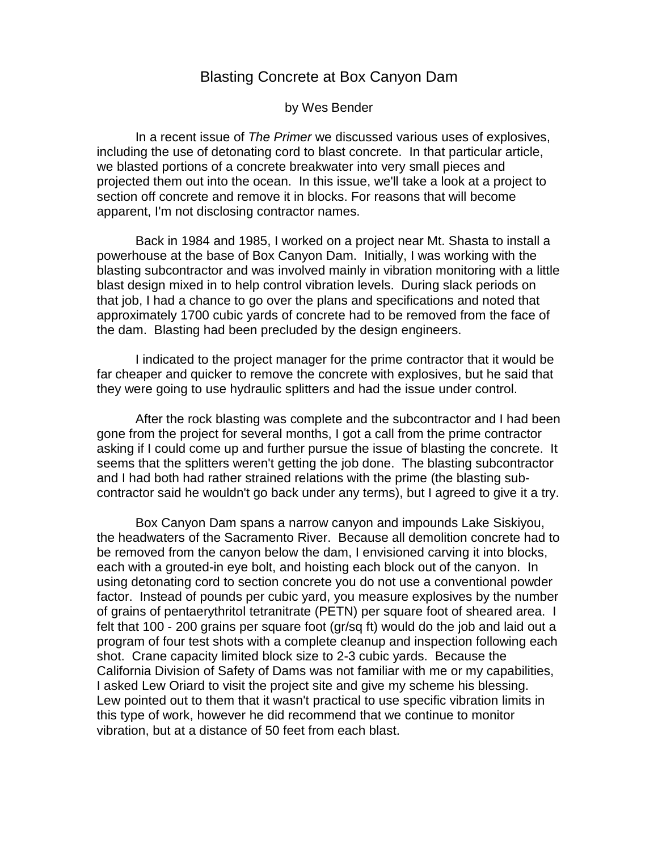## Blasting Concrete at Box Canyon Dam

by Wes Bender

In a recent issue of The Primer we discussed various uses of explosives, including the use of detonating cord to blast concrete. In that particular article, we blasted portions of a concrete breakwater into very small pieces and projected them out into the ocean. In this issue, we'll take a look at a project to section off concrete and remove it in blocks. For reasons that will become apparent, I'm not disclosing contractor names.

Back in 1984 and 1985, I worked on a project near Mt. Shasta to install a powerhouse at the base of Box Canyon Dam. Initially, I was working with the blasting subcontractor and was involved mainly in vibration monitoring with a little blast design mixed in to help control vibration levels. During slack periods on that job, I had a chance to go over the plans and specifications and noted that approximately 1700 cubic yards of concrete had to be removed from the face of the dam. Blasting had been precluded by the design engineers.

I indicated to the project manager for the prime contractor that it would be far cheaper and quicker to remove the concrete with explosives, but he said that they were going to use hydraulic splitters and had the issue under control.

After the rock blasting was complete and the subcontractor and I had been gone from the project for several months, I got a call from the prime contractor asking if I could come up and further pursue the issue of blasting the concrete. It seems that the splitters weren't getting the job done. The blasting subcontractor and I had both had rather strained relations with the prime (the blasting subcontractor said he wouldn't go back under any terms), but I agreed to give it a try.

Box Canyon Dam spans a narrow canyon and impounds Lake Siskiyou, the headwaters of the Sacramento River. Because all demolition concrete had to be removed from the canyon below the dam, I envisioned carving it into blocks, each with a grouted-in eye bolt, and hoisting each block out of the canyon. In using detonating cord to section concrete you do not use a conventional powder factor. Instead of pounds per cubic yard, you measure explosives by the number of grains of pentaerythritol tetranitrate (PETN) per square foot of sheared area. I felt that 100 - 200 grains per square foot (gr/sq ft) would do the job and laid out a program of four test shots with a complete cleanup and inspection following each shot. Crane capacity limited block size to 2-3 cubic yards. Because the California Division of Safety of Dams was not familiar with me or my capabilities, I asked Lew Oriard to visit the project site and give my scheme his blessing. Lew pointed out to them that it wasn't practical to use specific vibration limits in this type of work, however he did recommend that we continue to monitor vibration, but at a distance of 50 feet from each blast.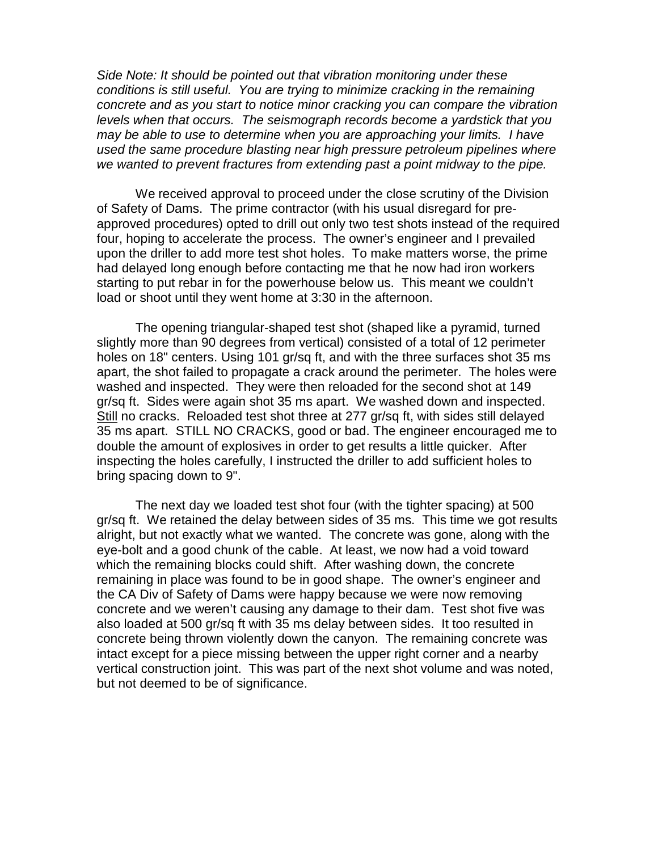Side Note: It should be pointed out that vibration monitoring under these conditions is still useful. You are trying to minimize cracking in the remaining concrete and as you start to notice minor cracking you can compare the vibration levels when that occurs. The seismograph records become a yardstick that you may be able to use to determine when you are approaching your limits. I have used the same procedure blasting near high pressure petroleum pipelines where we wanted to prevent fractures from extending past a point midway to the pipe.

We received approval to proceed under the close scrutiny of the Division of Safety of Dams. The prime contractor (with his usual disregard for preapproved procedures) opted to drill out only two test shots instead of the required four, hoping to accelerate the process. The owner's engineer and I prevailed upon the driller to add more test shot holes. To make matters worse, the prime had delayed long enough before contacting me that he now had iron workers starting to put rebar in for the powerhouse below us. This meant we couldn't load or shoot until they went home at 3:30 in the afternoon.

The opening triangular-shaped test shot (shaped like a pyramid, turned slightly more than 90 degrees from vertical) consisted of a total of 12 perimeter holes on 18" centers. Using 101 gr/sq ft, and with the three surfaces shot 35 ms apart, the shot failed to propagate a crack around the perimeter. The holes were washed and inspected. They were then reloaded for the second shot at 149 gr/sq ft. Sides were again shot 35 ms apart. We washed down and inspected. Still no cracks. Reloaded test shot three at 277 gr/sq ft, with sides still delayed 35 ms apart. STILL NO CRACKS, good or bad. The engineer encouraged me to double the amount of explosives in order to get results a little quicker. After inspecting the holes carefully, I instructed the driller to add sufficient holes to bring spacing down to 9".

The next day we loaded test shot four (with the tighter spacing) at 500 gr/sq ft. We retained the delay between sides of 35 ms. This time we got results alright, but not exactly what we wanted. The concrete was gone, along with the eye-bolt and a good chunk of the cable. At least, we now had a void toward which the remaining blocks could shift. After washing down, the concrete remaining in place was found to be in good shape. The owner's engineer and the CA Div of Safety of Dams were happy because we were now removing concrete and we weren't causing any damage to their dam. Test shot five was also loaded at 500 gr/sq ft with 35 ms delay between sides. It too resulted in concrete being thrown violently down the canyon. The remaining concrete was intact except for a piece missing between the upper right corner and a nearby vertical construction joint. This was part of the next shot volume and was noted, but not deemed to be of significance.